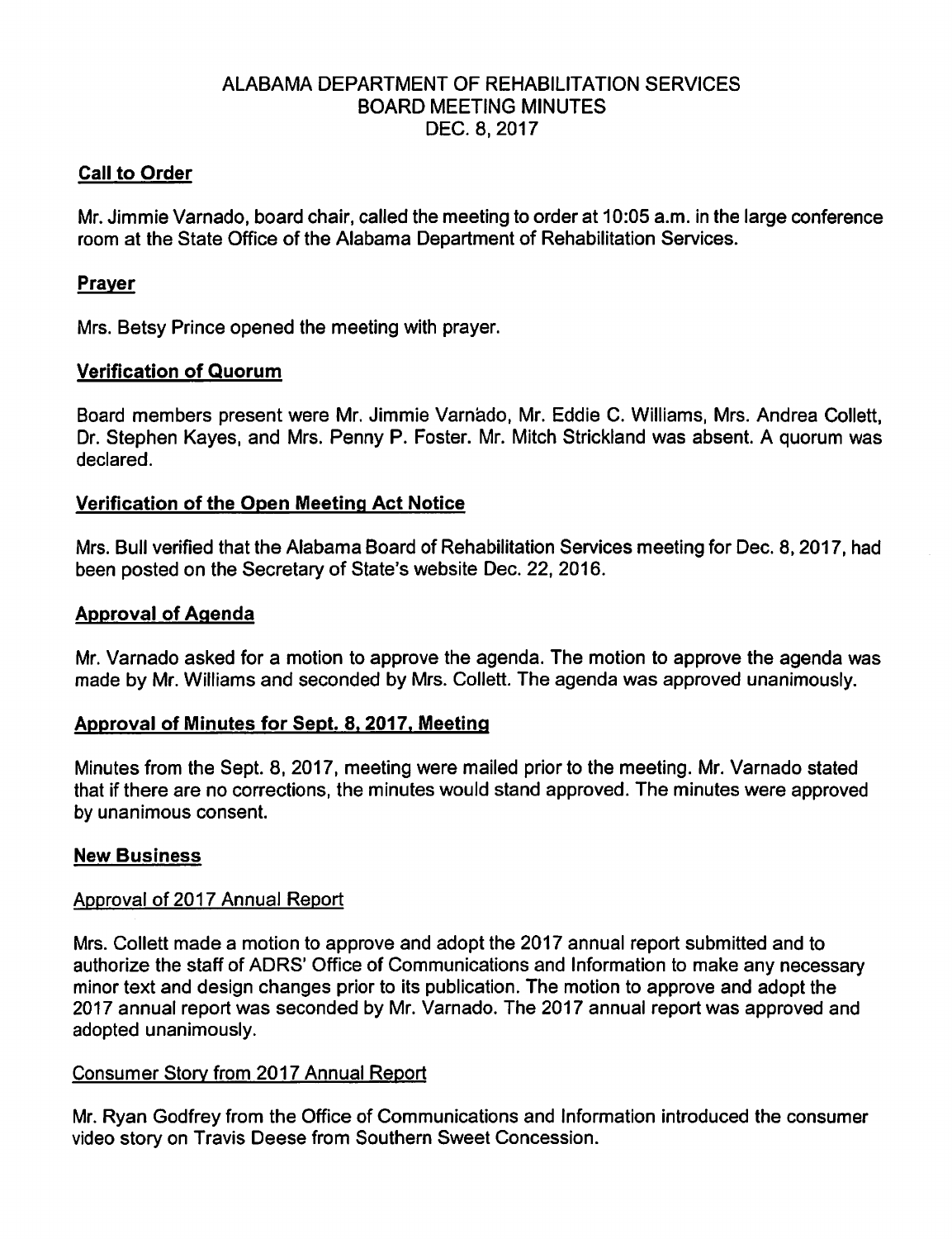## ALABAMA DEPARTMENT OF REHABILITATION SERVICES BOARD MEETING MINUTES DEC. 8,2017

## Call to Order

Mr. Jimmie Varnado, board chair, called the meeting to order at 10:05 a.m. in the large conference room at the State Office of the Alabama Department of Rehabilitation Services.

## Praver

Mrs. Betsy Prince opened the meeting with prayer.

### Verification of Quorum

Board members present were Mr. Jimmie Varnado, Mr. Eddie C. Williams, Mrs. Andrea Collett, Dr. Stephen Kayes, and Mrs. Penny P. Foster. Mr. Mitch Strickland was absent. A quorum was declared.

### Verification of the Open Meeting Act Notice

Mrs. Bull verified that the Alabama Board of Rehabilitation Services meeting for Dec. 8,2017, had been posted on the Secretary of State's website Dec. 22, 2016.

### Approval of Agenda

Mr. Varnado asked for a motion to approve the agenda. The motion to approve the agenda was made by Mr. Williams and seconded by Mrs. Coliett. The agenda was approved unanimously.

#### Approval of Minutes for Sept. 8.2017. Meeting

Minutes from the Sept. 8, 2017, meeting were mailed prior to the meeting. Mr. Varnado stated that if there are no corrections, the minutes would stand approved. The minutes were approved by unanimous consent.

#### New Business

#### Approval of 2017 Annual Report

Mrs. Coliett made a motion to approve and adopt the 2017 annual report submitted and to authorize the staff of ADRS' Office of Communications and Information to make any necessary minor text and design changes prior to its publication. The motion to approve and adopt the 2017 annual report was seconded by Mr. Varnado. The 2017 annual report was approved and adopted unanimously.

#### Consumer Storv from 2017 Annual Report

Mr. Ryan Godfrey from the Office of Communications and Information introduced the consumer video story on Travis Deese from Southern Sweet Concession.